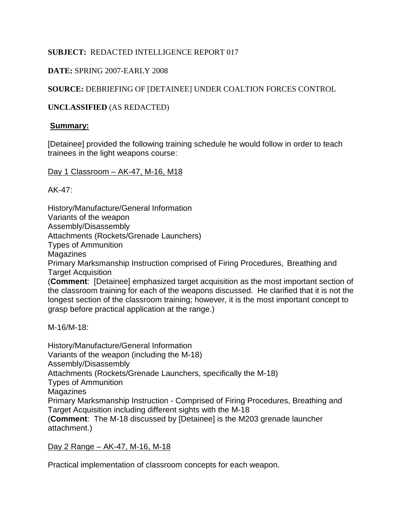# **SUBJECT:** REDACTED INTELLIGENCE REPORT 017

# **DATE:** SPRING 2007-EARLY 2008

# **SOURCE:** DEBRIEFING OF [DETAINEE] UNDER COALTION FORCES CONTROL

## **UNCLASSIFIED** (AS REDACTED)

## **Summary:**

[Detainee] provided the following training schedule he would follow in order to teach trainees in the light weapons course:

### Day 1 Classroom – AK-47, M-16, M18

AK-47:

History/Manufacture/General Information Variants of the weapon Assembly/Disassembly Attachments (Rockets/Grenade Launchers) Types of Ammunition Magazines Primary Marksmanship Instruction comprised of Firing Procedures, Breathing and Target Acquisition (**Comment**: [Detainee] emphasized target acquisition as the most important section of the classroom training for each of the weapons discussed. He clarified that it is not the longest section of the classroom training; however, it is the most important concept to grasp before practical application at the range.)

M-16/M-18:

History/Manufacture/General Information Variants of the weapon (including the M-18) Assembly/Disassembly Attachments (Rockets/Grenade Launchers, specifically the M-18) Types of Ammunition Magazines Primary Marksmanship Instruction - Comprised of Firing Procedures, Breathing and Target Acquisition including different sights with the M-18 (**Comment**: The M-18 discussed by [Detainee] is the M203 grenade launcher attachment.)

## Day 2 Range – AK-47, M-16, M-18

Practical implementation of classroom concepts for each weapon.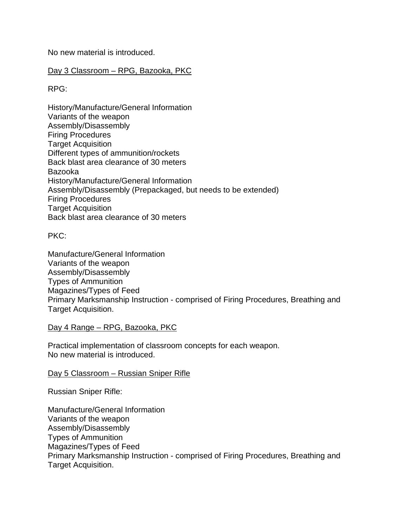No new material is introduced.

## Day 3 Classroom - RPG, Bazooka, PKC

RPG:

History/Manufacture/General Information Variants of the weapon Assembly/Disassembly Firing Procedures Target Acquisition Different types of ammunition/rockets Back blast area clearance of 30 meters Bazooka History/Manufacture/General Information Assembly/Disassembly (Prepackaged, but needs to be extended) Firing Procedures Target Acquisition Back blast area clearance of 30 meters

PKC:

Manufacture/General Information Variants of the weapon Assembly/Disassembly Types of Ammunition Magazines/Types of Feed Primary Marksmanship Instruction - comprised of Firing Procedures, Breathing and Target Acquisition.

### Day 4 Range – RPG, Bazooka, PKC

Practical implementation of classroom concepts for each weapon. No new material is introduced.

### Day 5 Classroom – Russian Sniper Rifle

Russian Sniper Rifle:

Manufacture/General Information Variants of the weapon Assembly/Disassembly Types of Ammunition Magazines/Types of Feed Primary Marksmanship Instruction - comprised of Firing Procedures, Breathing and Target Acquisition.